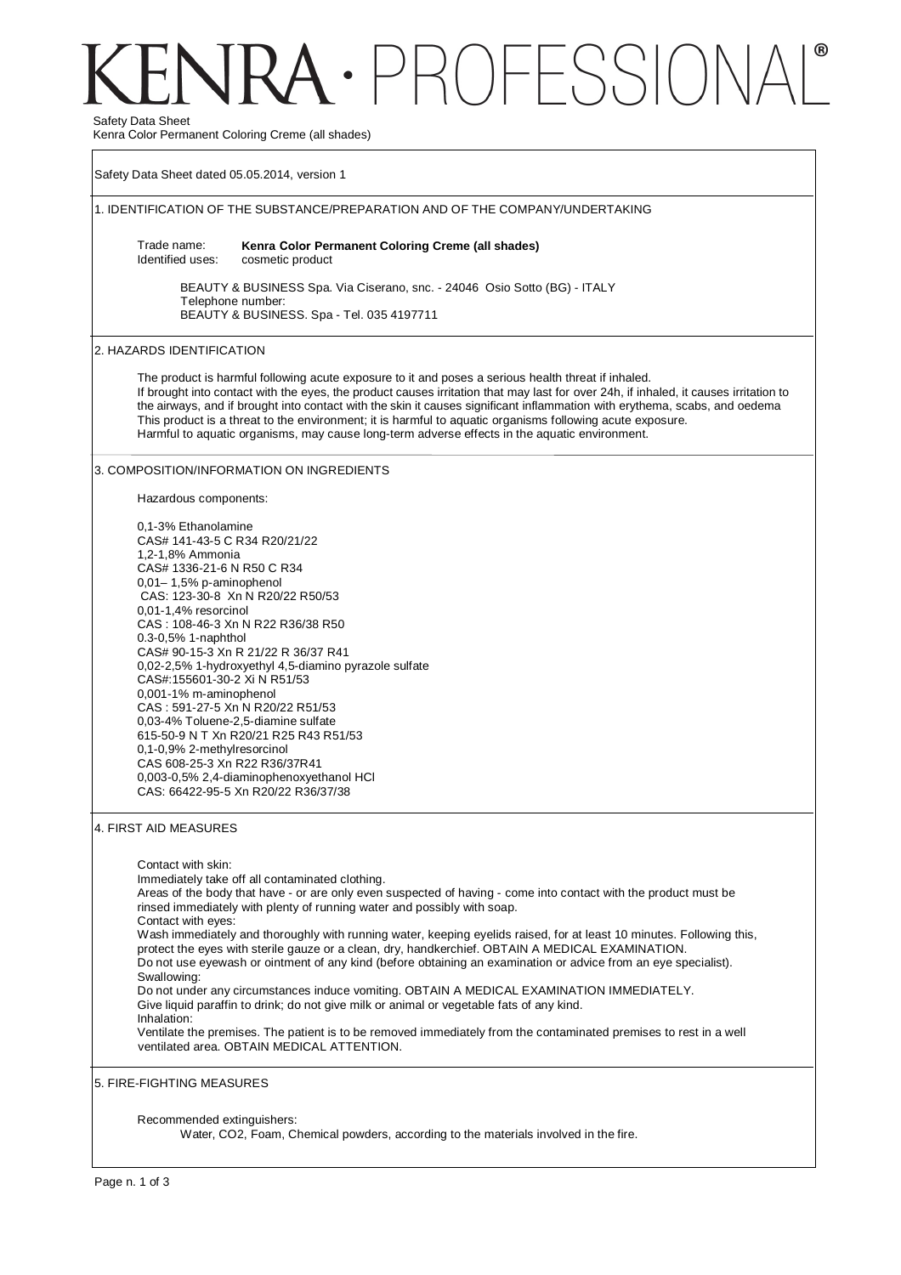# $\cdot$  PROFFSSIO Safety Data Sheet

Kenra Color Permanent Coloring Creme (all shades)

Safety Data Sheet dated 05.05.2014, version 1 1. IDENTIFICATION OF THE SUBSTANCE/PREPARATION AND OF THE COMPANY/UNDERTAKING Trade name: Identified uses: **Kenra Color Permanent Coloring Creme (all shades)**  cosmetic product BEAUTY & BUSINESS Spa. Via Ciserano, snc. - 24046 Osio Sotto (BG) - ITALY Telephone number: BEAUTY & BUSINESS. Spa - Tel. 035 4197711 2. HAZARDS IDENTIFICATION The product is harmful following acute exposure to it and poses a serious health threat if inhaled. If brought into contact with the eyes, the product causes irritation that may last for over 24h, if inhaled, it causes irritation to the airways, and if brought into contact with the skin it causes significant inflammation with erythema, scabs, and oedema This product is a threat to the environment; it is harmful to aquatic organisms following acute exposure. Harmful to aquatic organisms, may cause long-term adverse effects in the aquatic environment. 3. COMPOSITION/INFORMATION ON INGREDIENTS Hazardous components: 0,1-3% Ethanolamine CAS# 141-43-5 C R34 R20/21/22 1,2-1,8% Ammonia CAS# 1336-21-6 N R50 C R34 0,01– 1,5% p-aminophenol CAS: 123-30-8 Xn N R20/22 R50/53 0,01-1,4% resorcinol CAS : 108-46-3 Xn N R22 R36/38 R50 0.3-0,5% 1-naphthol CAS# 90-15-3 Xn R 21/22 R 36/37 R41 0,02-2,5% 1-hydroxyethyl 4,5-diamino pyrazole sulfate CAS#:155601-30-2 Xi N R51/53 0,001-1% m-aminophenol CAS : 591-27-5 Xn N R20/22 R51/53 0,03-4% Toluene-2,5-diamine sulfate 615-50-9 N T Xn R20/21 R25 R43 R51/53 0,1-0,9% 2-methylresorcinol CAS 608-25-3 Xn R22 R36/37R41 0,003-0,5% 2,4-diaminophenoxyethanol HCl CAS: 66422-95-5 Xn R20/22 R36/37/38 4. FIRST AID MEASURES Contact with skin: Immediately take off all contaminated clothing. Areas of the body that have - or are only even suspected of having - come into contact with the product must be rinsed immediately with plenty of running water and possibly with soap. Contact with eyes: Wash immediately and thoroughly with running water, keeping eyelids raised, for at least 10 minutes. Following this, protect the eyes with sterile gauze or a clean, dry, handkerchief. OBTAIN A MEDICAL EXAMINATION. Do not use eyewash or ointment of any kind (before obtaining an examination or advice from an eye specialist). Swallowing: Do not under any circumstances induce vomiting. OBTAIN A MEDICAL EXAMINATION IMMEDIATELY. Give liquid paraffin to drink; do not give milk or animal or vegetable fats of any kind. Inhalation: Ventilate the premises. The patient is to be removed immediately from the contaminated premises to rest in a well ventilated area. OBTAIN MEDICAL ATTENTION. 5. FIRE-FIGHTING MEASURES Recommended extinguishers: Water, CO2, Foam, Chemical powders, according to the materials involved in the fire.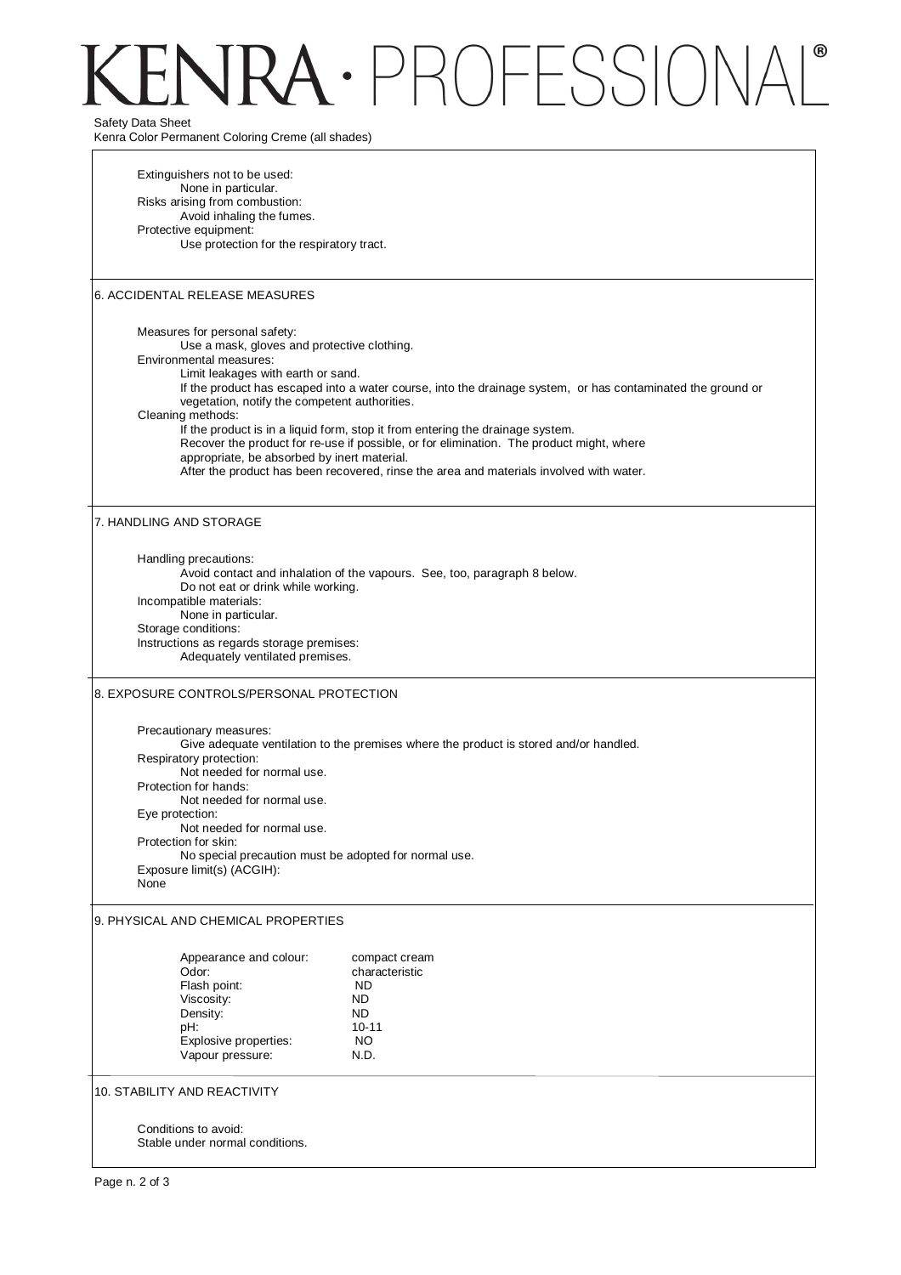# $\cdot$  PROFESSION Safety Data Sheet

Kenra Color Permanent Coloring Creme (all shades)

Extinguishers not to be used: None in particular. Risks arising from combustion: Avoid inhaling the fumes. Protective equipment: Use protection for the respiratory tract. 6. ACCIDENTAL RELEASE MEASURES Measures for personal safety: Use a mask, gloves and protective clothing. Environmental measures: Limit leakages with earth or sand. If the product has escaped into a water course, into the drainage system, or has contaminated the ground or vegetation, notify the competent authorities. Cleaning methods: If the product is in a liquid form, stop it from entering the drainage system. Recover the product for re-use if possible, or for elimination. The product might, where appropriate, be absorbed by inert material. After the product has been recovered, rinse the area and materials involved with water. 7. HANDLING AND STORAGE Handling precautions: Avoid contact and inhalation of the vapours. See, too, paragraph 8 below. Do not eat or drink while working. Incompatible materials: None in particular. Storage conditions: Instructions as regards storage premises: Adequately ventilated premises. 8. EXPOSURE CONTROLS/PERSONAL PROTECTION Precautionary measures: Give adequate ventilation to the premises where the product is stored and/or handled. Respiratory protection: Not needed for normal use. Protection for hands: Not needed for normal use. Eye protection: Not needed for normal use. Protection for skin: No special precaution must be adopted for normal use. Exposure limit(s) (ACGIH): None 9. PHYSICAL AND CHEMICAL PROPERTIES Appearance and colour: compact cream Odor: characteristic<br>
Flash point: Characteristic<br>
ND Flash point: ND<br>Viscosity: ND Viscosity: ND<br>Density: ND Density: pH: 10-11<br>Explosive properties: 10-11 Explosive properties: NO<br>Vapour pressure: N.D. Vapour pressure: 10. STABILITY AND REACTIVITY

Conditions to avoid: Stable under normal conditions.